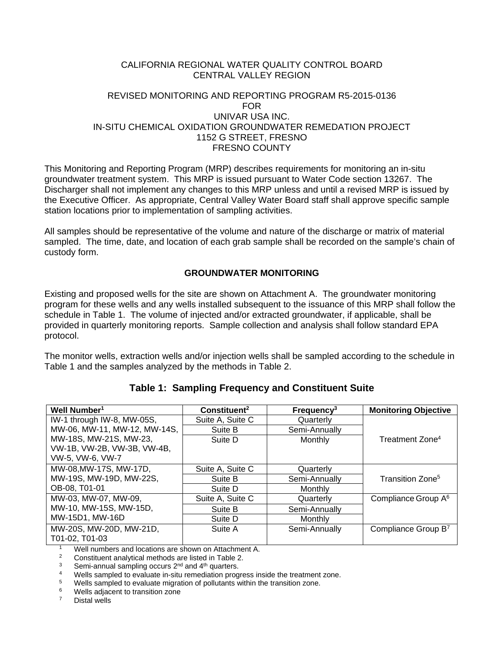## CALIFORNIA REGIONAL WATER QUALITY CONTROL BOARD CENTRAL VALLEY REGION

#### REVISED MONITORING AND REPORTING PROGRAM R5-2015-0136 FOR UNIVAR USA INC. IN-SITU CHEMICAL OXIDATION GROUNDWATER REMEDATION PROJECT 1152 G STREET, FRESNO FRESNO COUNTY

This Monitoring and Reporting Program (MRP) describes requirements for monitoring an in-situ groundwater treatment system. This MRP is issued pursuant to Water Code section 13267. The Discharger shall not implement any changes to this MRP unless and until a revised MRP is issued by the Executive Officer. As appropriate, Central Valley Water Board staff shall approve specific sample station locations prior to implementation of sampling activities.

All samples should be representative of the volume and nature of the discharge or matrix of material sampled. The time, date, and location of each grab sample shall be recorded on the sample's chain of custody form.

## **GROUNDWATER MONITORING**

Existing and proposed wells for the site are shown on Attachment A. The groundwater monitoring program for these wells and any wells installed subsequent to the issuance of this MRP shall follow the schedule in Table 1. The volume of injected and/or extracted groundwater, if applicable, shall be provided in quarterly monitoring reports. Sample collection and analysis shall follow standard EPA protocol.

The monitor wells, extraction wells and/or injection wells shall be sampled according to the schedule in Table 1 and the samples analyzed by the methods in Table 2.

| Well Number <sup>1</sup>     | Constituent <sup>2</sup> | Frequency <sup>3</sup> | <b>Monitoring Objective</b>     |
|------------------------------|--------------------------|------------------------|---------------------------------|
| IW-1 through IW-8, MW-05S,   | Suite A, Suite C         | Quarterly              |                                 |
| MW-06, MW-11, MW-12, MW-14S, | Suite B                  | Semi-Annually          |                                 |
| MW-18S, MW-21S, MW-23,       | Suite D                  | Monthly                | Treatment Zone <sup>4</sup>     |
| VW-1B, VW-2B, VW-3B, VW-4B,  |                          |                        |                                 |
| VW-5, VW-6, VW-7             |                          |                        |                                 |
| MW-08, MW-17S, MW-17D,       | Suite A, Suite C         | Quarterly              |                                 |
| MW-19S, MW-19D, MW-22S,      | Suite B                  | Semi-Annually          | Transition Zone <sup>5</sup>    |
| OB-08, T01-01                | Suite D                  | Monthly                |                                 |
| MW-03, MW-07, MW-09,         | Suite A, Suite C         | Quarterly              | Compliance Group A <sup>6</sup> |
| MW-10, MW-15S, MW-15D,       | Suite B                  | Semi-Annually          |                                 |
| MW-15D1, MW-16D              | Suite D                  | Monthly                |                                 |
| MW-20S, MW-20D, MW-21D,      | Suite A                  | Semi-Annually          | Compliance Group B7             |
| T01-02. T01-03               |                          |                        |                                 |

**Table 1: Sampling Frequency and Constituent Suite**

<sup>1</sup> Well numbers and locations are shown on Attachment A.<br><sup>2</sup> Constituent analytical methods are listed in Table 2

2 Constituent analytical methods are listed in Table 2.<br>
3 Semi-annual sampling occurs  $2^{nd}$  and  $4^{th}$  quarters.<br>
4 Wells sampled to evaluate in-situ remediation progress inside the treatment zone.<br>
4 Wells sampled to e

 $5$  Wells sampled to evaluate migration of pollutants within the transition zone.<br>
Wells adjacent to transition zone

 $6$  Wells adjacent to transition zone<br>  $7$  Distal wells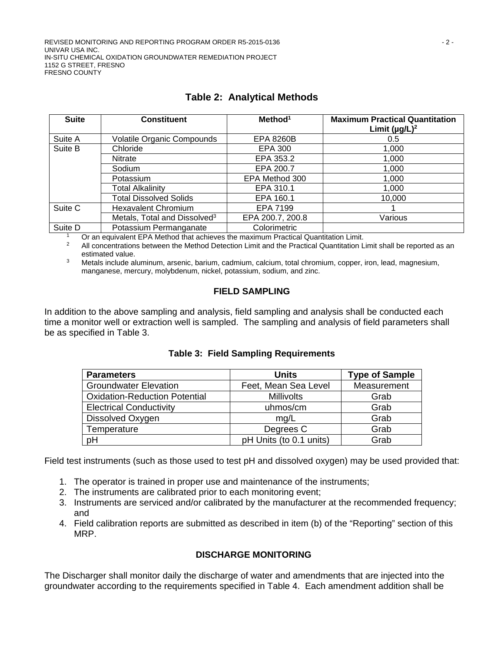| <b>Suite</b> | <b>Constituent</b>                       | Method <sup>1</sup> | <b>Maximum Practical Quantitation</b><br>Limit $(\mu g/L)^2$ |
|--------------|------------------------------------------|---------------------|--------------------------------------------------------------|
| Suite A      | <b>Volatile Organic Compounds</b>        | <b>EPA 8260B</b>    | 0.5                                                          |
| Suite B      | Chloride                                 | EPA 300             | 1,000                                                        |
|              | <b>Nitrate</b>                           | EPA 353.2           | 1,000                                                        |
|              | Sodium                                   | EPA 200.7           | 1,000                                                        |
|              | Potassium                                | EPA Method 300      | 1,000                                                        |
|              | <b>Total Alkalinity</b>                  | EPA 310.1           | 1,000                                                        |
|              | <b>Total Dissolved Solids</b>            | EPA 160.1           | 10,000                                                       |
| Suite C      | <b>Hexavalent Chromium</b>               | EPA 7199            |                                                              |
|              | Metals, Total and Dissolved <sup>3</sup> | EPA 200.7, 200.8    | Various                                                      |
| Suite D      | Potassium Permanganate                   | Colorimetric        |                                                              |

# **Table 2: Analytical Methods**

<sup>1</sup> Or an equivalent EPA Method that achieves the maximum Practical Quantitation Limit.<br><sup>2</sup> All concentrations between the Method Detection Limit and the Practical Quantitation L

<sup>2</sup> All concentrations between the Method Detection Limit and the Practical Quantitation Limit shall be reported as an

estimated value.<br>3 Metals include aluminum, arsenic, barium, cadmium, calcium, total chromium, copper, iron, lead, magnesium, manganese, mercury, molybdenum, nickel, potassium, sodium, and zinc.

# **FIELD SAMPLING**

In addition to the above sampling and analysis, field sampling and analysis shall be conducted each time a monitor well or extraction well is sampled. The sampling and analysis of field parameters shall be as specified in Table 3.

| <b>Parameters</b>                    | <b>Units</b>            | <b>Type of Sample</b> |
|--------------------------------------|-------------------------|-----------------------|
| <b>Groundwater Elevation</b>         | Feet, Mean Sea Level    | Measurement           |
| <b>Oxidation-Reduction Potential</b> | <b>Millivolts</b>       | Grab                  |
| <b>Electrical Conductivity</b>       | uhmos/cm                | Grab                  |
| Dissolved Oxygen                     | mq/L                    | Grab                  |
| Temperature                          | Degrees C               | Grab                  |
| рH                                   | pH Units (to 0.1 units) | Grab                  |

# **Table 3: Field Sampling Requirements**

Field test instruments (such as those used to test pH and dissolved oxygen) may be used provided that:

- 1. The operator is trained in proper use and maintenance of the instruments;
- 2. The instruments are calibrated prior to each monitoring event;
- 3. Instruments are serviced and/or calibrated by the manufacturer at the recommended frequency; and
- 4. Field calibration reports are submitted as described in item (b) of the "Reporting" section of this MRP.

# **DISCHARGE MONITORING**

The Discharger shall monitor daily the discharge of water and amendments that are injected into the groundwater according to the requirements specified in Table 4. Each amendment addition shall be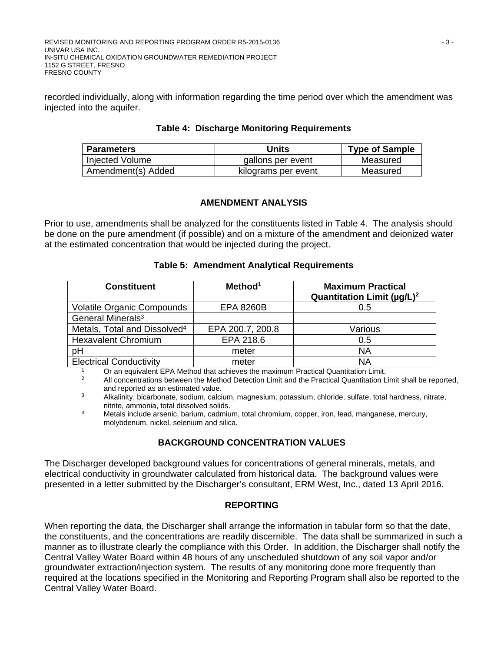REVISED MONITORING AND REPORTING PROGRAM ORDER R5-2015-0136 - 3 - UNIVAR USA INC. IN-SITU CHEMICAL OXIDATION GROUNDWATER REMEDIATION PROJECT 1152 G STREET, FRESNO FRESNO COUNTY

recorded individually, along with information regarding the time period over which the amendment was injected into the aquifer.

#### **Table 4: Discharge Monitoring Requirements**

| <b>Parameters</b>  | Units               | <b>Type of Sample</b> |
|--------------------|---------------------|-----------------------|
| Injected Volume    | gallons per event   | Measured              |
| Amendment(s) Added | kilograms per event | Measured              |

## **AMENDMENT ANALYSIS**

Prior to use, amendments shall be analyzed for the constituents listed in Table 4. The analysis should be done on the pure amendment (if possible) and on a mixture of the amendment and deionized water at the estimated concentration that would be injected during the project.

## **Table 5: Amendment Analytical Requirements**

| <b>Constituent</b>                       | Method <sup>1</sup> | <b>Maximum Practical</b><br>Quantitation Limit ( $\mu$ g/L) <sup>2</sup> |
|------------------------------------------|---------------------|--------------------------------------------------------------------------|
| <b>Volatile Organic Compounds</b>        | <b>EPA 8260B</b>    | 0.5                                                                      |
| General Minerals <sup>3</sup>            |                     |                                                                          |
| Metals, Total and Dissolved <sup>4</sup> | EPA 200.7, 200.8    | Various                                                                  |
| <b>Hexavalent Chromium</b>               | EPA 218.6           | 0.5                                                                      |
| pH                                       | meter               | ΝA                                                                       |
| <b>Electrical Conductivity</b>           | meter               | ΝA                                                                       |

<sup>1</sup> Or an equivalent EPA Method that achieves the maximum Practical Quantitation Limit.<br><sup>2</sup> All concentrations between the Method Detection Limit and the Practical Quantitation L

<sup>2</sup> All concentrations between the Method Detection Limit and the Practical Quantitation Limit shall be reported, and reported as an estimated value.

<sup>3</sup> Alkalinity, bicarbonate, sodium, calcium, magnesium, potassium, chloride, sulfate, total hardness, nitrate, nitrite, ammonia, total dissolved solids.

<sup>4</sup> Metals include arsenic, barium, cadmium, total chromium, copper, iron, lead, manganese, mercury, molybdenum, nickel, selenium and silica.

# **BACKGROUND CONCENTRATION VALUES**

The Discharger developed background values for concentrations of general minerals, metals, and electrical conductivity in groundwater calculated from historical data. The background values were presented in a letter submitted by the Discharger's consultant, ERM West, Inc., dated 13 April 2016.

#### **REPORTING**

When reporting the data, the Discharger shall arrange the information in tabular form so that the date, the constituents, and the concentrations are readily discernible. The data shall be summarized in such a manner as to illustrate clearly the compliance with this Order. In addition, the Discharger shall notify the Central Valley Water Board within 48 hours of any unscheduled shutdown of any soil vapor and/or groundwater extraction/injection system. The results of any monitoring done more frequently than required at the locations specified in the Monitoring and Reporting Program shall also be reported to the Central Valley Water Board.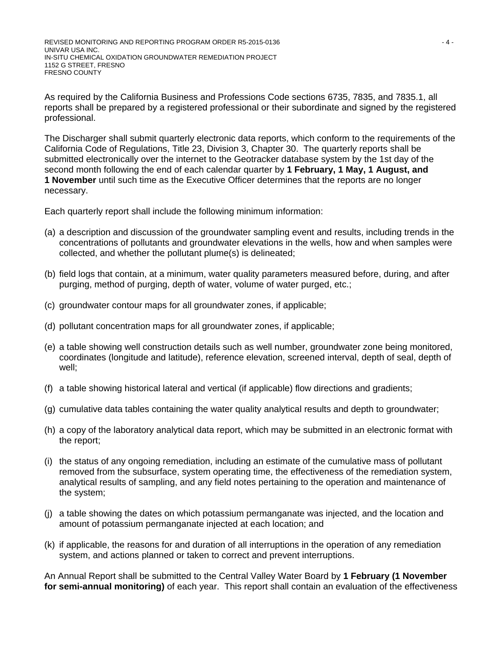REVISED MONITORING AND REPORTING PROGRAM ORDER R5-2015-0136  $-4 - 4 = 4 - 4 = 4$ UNIVAR USA INC. IN-SITU CHEMICAL OXIDATION GROUNDWATER REMEDIATION PROJECT 1152 G STREET, FRESNO FRESNO COUNTY

As required by the California Business and Professions Code sections 6735, 7835, and 7835.1, all reports shall be prepared by a registered professional or their subordinate and signed by the registered professional.

The Discharger shall submit quarterly electronic data reports, which conform to the requirements of the California Code of Regulations, Title 23, Division 3, Chapter 30. The quarterly reports shall be submitted electronically over the internet to the Geotracker database system by the 1st day of the second month following the end of each calendar quarter by **1 February, 1 May, 1 August, and 1 November** until such time as the Executive Officer determines that the reports are no longer necessary.

Each quarterly report shall include the following minimum information:

- (a) a description and discussion of the groundwater sampling event and results, including trends in the concentrations of pollutants and groundwater elevations in the wells, how and when samples were collected, and whether the pollutant plume(s) is delineated;
- (b) field logs that contain, at a minimum, water quality parameters measured before, during, and after purging, method of purging, depth of water, volume of water purged, etc.;
- (c) groundwater contour maps for all groundwater zones, if applicable;
- (d) pollutant concentration maps for all groundwater zones, if applicable;
- (e) a table showing well construction details such as well number, groundwater zone being monitored, coordinates (longitude and latitude), reference elevation, screened interval, depth of seal, depth of well;
- (f) a table showing historical lateral and vertical (if applicable) flow directions and gradients;
- (g) cumulative data tables containing the water quality analytical results and depth to groundwater;
- (h) a copy of the laboratory analytical data report, which may be submitted in an electronic format with the report;
- (i) the status of any ongoing remediation, including an estimate of the cumulative mass of pollutant removed from the subsurface, system operating time, the effectiveness of the remediation system, analytical results of sampling, and any field notes pertaining to the operation and maintenance of the system;
- (j) a table showing the dates on which potassium permanganate was injected, and the location and amount of potassium permanganate injected at each location; and
- (k) if applicable, the reasons for and duration of all interruptions in the operation of any remediation system, and actions planned or taken to correct and prevent interruptions.

An Annual Report shall be submitted to the Central Valley Water Board by **1 February (1 November for semi-annual monitoring)** of each year. This report shall contain an evaluation of the effectiveness